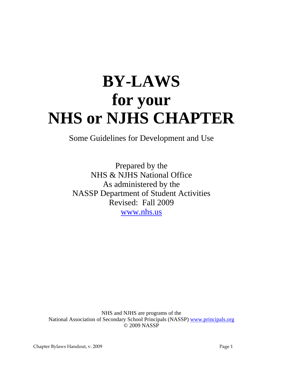# **BY-LAWS for your NHS or NJHS CHAPTER**

Some Guidelines for Development and Use

Prepared by the NHS & NJHS National Office As administered by the NASSP Department of Student Activities Revised: Fall 2009 [www.nhs.us](http://www.nhs.us/)

NHS and NJHS are programs of the National Association of Secondary School Principals (NASSP) [www.principals.org](http://www.principals.org/)  © 2009 NASSP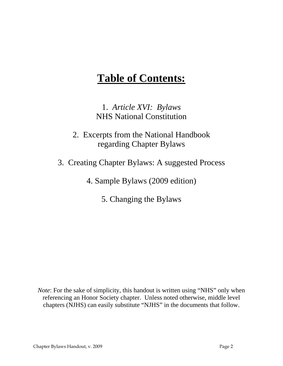# **Table of Contents:**

1. *Article XVI: Bylaws* NHS National Constitution

2. Excerpts from the National Handbook regarding Chapter Bylaws

3. Creating Chapter Bylaws: A suggested Process

4. Sample Bylaws (2009 edition)

5. Changing the Bylaws

*Note*: For the sake of simplicity, this handout is written using "NHS" only when referencing an Honor Society chapter. Unless noted otherwise, middle level chapters (NJHS) can easily substitute "NJHS" in the documents that follow.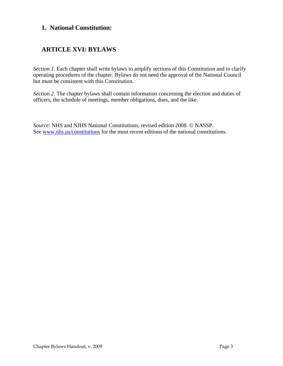# **1. National Constitution:**

# **ARTICLE XVI: BYLAWS**

*Section 1*. Each chapter shall write bylaws to amplify sections of this Constitution and to clarify operating procedures of the chapter. Bylaws do not need the approval of the National Council but must be consistent with this Constitution.

*Section 2*. The chapter bylaws shall contain information concerning the election and duties of officers, the schedule of meetings, member obligations, dues, and the like.

*Source*: NHS and NJHS National Constitutions, revised edition 2008. © NASSP. See [www.nhs.us/constitutions](http://www.nhs.us/constitutions) for the most recent editions of the national constitutions.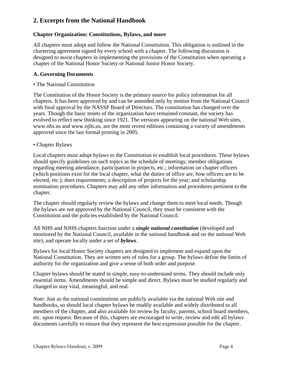# **2. Excerpts from the National Handbook**

#### **Chapter Organization: Constitutions, Bylaws, and more**

All chapters must adopt and follow the National Constitution. This obligation is outlined in the chartering agreement signed by every school with a chapter. The following discussion is designed to assist chapters in implementing the provisions of the Constitution when operating a chapter of the National Honor Society or National Junior Honor Society.

#### **A. Governing Documents**

• The National Constitution

The Constitution of the Honor Society is the primary source for policy information for all chapters. It has been approved by and can be amended only by motion from the National Council with final approval by the NASSP Board of Directors. The constitution has changed over the years. Though the basic tenets of the organization have remained constant, the society has evolved to reflect new thinking since 1921. The versions appearing on the national Web sites, www.nhs.us and www.njhs.us, are the most recent editions containing a variety of amendments approved since the last formal printing in 2005.

#### • Chapter Bylaws

Local chapters must adopt bylaws to the Constitution to establish local procedures. These bylaws should specify guidelines on such topics as the schedule of meetings; member obligations regarding meeting attendance, participation in projects, etc.; information on chapter officers (which positions exist for the local chapter, what the duties of office are, how officers are to be elected, etc.); dues requirements; a description of projects for the year; and scholarship nomination procedures. Chapters may add any other information and procedures pertinent to the chapter.

The chapter should regularly review the bylaws and change them to meet local needs. Though the bylaws are not approved by the National Council, they must be consistent with the Constitution and the policies established by the National Council.

All NHS and NJHS chapters function under a *single national constitution* (developed and monitored by the National Council, available in the national handbook and on the national Web site), and operate locally under a set of *bylaws*.

Bylaws for local Honor Society chapters are designed to implement and expand upon the National Constitution. They are written sets of rules for a group. The bylaws define the limits of authority for the organization and give a sense of both order and purpose.

Chapter bylaws should be stated in simple, easy-to-understand terms. They should include only essential items. Amendments should be simple and direct. Bylaws must be studied regularly and changed to stay vital, meaningful, and real.

*Note*: Just as the national constitutions are publicly available via the national Web site and handbooks, so should local chapter bylaws be readily available and widely distributed to all members of the chapter, and also available for review by faculty, parents, school board members, etc. upon request. Because of this, chapters are encouraged to write, review and edit all bylaws documents carefully to ensure that they represent the best expression possible for the chapter.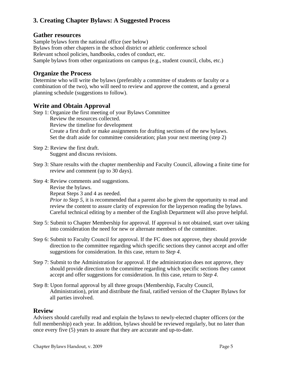# **3. Creating Chapter Bylaws: A Suggested Process**

### **Gather resources**

Sample bylaws form the national office (see below) Bylaws from other chapters in the school district or athletic conference school Relevant school policies, handbooks, codes of conduct, etc. Sample bylaws from other organizations on campus (e.g., student council, clubs, etc.)

# **Organize the Process**

Determine who will write the bylaws (preferably a committee of students or faculty or a combination of the two), who will need to review and approve the content, and a general planning schedule (suggestions to follow).

# **Write and Obtain Approval**

Step 1: Organize the first meeting of your Bylaws Committee Review the resources collected. Review the timeline for development Create a first draft or make assignments for drafting sections of the new bylaws. Set the draft aside for committee consideration; plan your next meeting (step 2)

- Step 2: Review the first draft. Suggest and discuss revisions.
- Step 3: Share results with the chapter membership and Faculty Council, allowing a finite time for review and comment (up to 30 days).

Step 4: Review comments and suggestions.

Revise the bylaws.

Repeat Steps 3 and 4 as needed.

*Prior to Step 5*, it is recommended that a parent also be given the opportunity to read and review the content to assure clarity of expression for the layperson reading the bylaws. Careful technical editing by a member of the English Department will also prove helpful.

- Step 5: Submit to Chapter Membership for approval. If approval is not obtained, start over taking into consideration the need for new or alternate members of the committee.
- Step 6: Submit to Faculty Council for approval. If the FC does not approve, they should provide direction to the committee regarding which specific sections they cannot accept and offer suggestions for consideration. In this case, return to *Step 4*.
- Step 7: Submit to the Administration for approval. If the administration does not approve, they should provide direction to the committee regarding which specific sections they cannot accept and offer suggestions for consideration. In this case, return to *Step 4*.
- Step 8: Upon formal approval by all three groups (Membership, Faculty Council, Administration), print and distribute the final, ratified version of the Chapter Bylaws for all parties involved.

# **Review**

Advisers should carefully read and explain the bylaws to newly-elected chapter officers (or the full membership) each year. In addition, bylaws should be reviewed regularly, but no later than once every five (5) years to assure that they are accurate and up-to-date.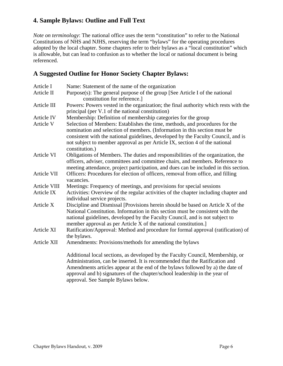# **4. Sample Bylaws: Outline and Full Text**

*Note on terminology*: The national office uses the term "constitution" to refer to the National Constitutions of NHS and NJHS, reserving the term "bylaws" for the operating procedures adopted by the local chapter. Some chapters refer to their bylaws as a "local constitution" which is allowable, but can lead to confusion as to whether the local or national document is being referenced.

# **A Suggested Outline for Honor Society Chapter Bylaws:**

| Article I        | Name: Statement of the name of the organization                                                                     |
|------------------|---------------------------------------------------------------------------------------------------------------------|
| Article II       | Purpose $(s)$ : The general purpose of the group [See Article I of the national                                     |
|                  | constitution for reference.]                                                                                        |
| Article III      | Powers: Powers vested in the organization; the final authority which rests with the                                 |
|                  | principal (per V.1 of the national constitution)                                                                    |
| Article IV       | Membership: Definition of membership categories for the group                                                       |
| <b>Article V</b> | Selection of Members: Establishes the time, methods, and procedures for the                                         |
|                  | nomination and selection of members. (Information in this section must be                                           |
|                  | consistent with the national guidelines, developed by the Faculty Council, and is                                   |
|                  | not subject to member approval as per Article IX, section 4 of the national<br>constitution.)                       |
| Article VI       | Obligations of Members. The duties and responsibilities of the organization, the                                    |
|                  | officers, adviser, committees and committee chairs, and members. Reference to                                       |
|                  | meeting attendance, project participation, and dues can be included in this section.                                |
| Article VII      | Officers: Procedures for election of officers, removal from office, and filling<br>vacancies.                       |
| Article VIII     | Meetings: Frequency of meetings, and provisions for special sessions                                                |
| Article IX       | Activities: Overview of the regular activities of the chapter including chapter and<br>individual service projects. |
| Article X        | Discipline and Dismissal [Provisions herein should be based on Article X of the                                     |
|                  | National Constitution. Information in this section must be consistent with the                                      |
|                  | national guidelines, developed by the Faculty Council, and is not subject to                                        |
|                  | member approval as per Article X of the national constitution.]                                                     |
| Article XI       | Ratification/Approval: Method and procedure for formal approval (ratification) of                                   |
|                  | the bylaws.                                                                                                         |
| Article XII      | Amendments: Provisions/methods for amending the bylaws                                                              |
|                  | Additional local sections, as developed by the Faculty Council, Membership, or                                      |
|                  | Administration, can be inserted. It is recommended that the Ratification and                                        |
|                  | Amendments articles appear at the end of the bylaws followed by a) the date of                                      |

approval and b) signatures of the chapter/school leadership in the year of

approval. See Sample Bylaws below.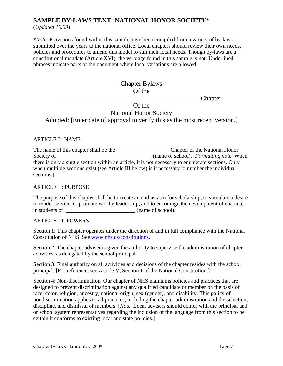# **SAMPLE BY-LAWS TEXT: NATIONAL HONOR SOCIETY\***

(*Updated 10.09*)

\**Note*: Provisions found within this sample have been compiled from a variety of by-laws submitted over the years to the national office. Local chapters should review their own needs, policies and procedures to amend this model to suit their local needs. Though by-laws are a constitutional mandate (Article XVI), the verbiage found in this sample is not. Underlined phrases indicate parts of the document where local variations are allowed.

# Chapter Bylaws Of the

\_\_\_\_\_\_\_\_\_\_\_\_\_\_\_\_\_\_\_\_\_\_\_\_\_\_\_\_\_\_\_\_\_\_\_\_\_\_\_\_\_\_\_Chapter

Of the National Honor Society Adopted: [Enter date of approval to verify this as the most recent version.]

#### ARTICLE I: NAME

The name of this chapter shall be the \_\_\_\_\_\_\_\_\_\_\_\_\_\_\_\_\_\_\_ Chapter of the National Honor Society of \_\_\_\_\_\_\_\_\_\_\_\_\_\_\_\_\_\_\_\_\_\_\_\_\_\_\_\_\_\_\_\_\_\_ (name of school). [*Formatting note*: When there is only a single section within an article, it is not necessary to enumerate sections. Only when multiple sections exist (see Article III below) is it necessary to number the individual sections.]

#### ARTICLE II: PURPOSE

The purpose of this chapter shall be to create an enthusiasm for scholarship, to stimulate a desire to render service, to promote worthy leadership, and to encourage the development of character in students of \_\_\_\_\_\_\_\_\_\_\_\_\_\_\_\_\_\_\_\_\_\_\_\_\_ (name of school).

#### ARTICLE III: POWERS

Section 1: This chapter operates under the direction of and in full compliance with the National Constitution of NHS. See [www.nhs.us/constitutions.](http://www.nhs.us/constitutions)

Section 2. The chapter adviser is given the authority to supervise the administration of chapter activities, as delegated by the school principal.

Section 3: Final authority on all activities and decisions of the chapter resides with the school principal. [For reference, see Article V, Section 1 of the National Constitution.]

Section 4: Non-discrimination. Our chapter of NHS maintains policies and practices that are designed to prevent discrimination against any qualified candidate or member on the basis of race, color, religion, ancestry, national origin, sex (gender), and disability. This policy of nondiscrimination applies to all practices, including the chapter administration and the selection, discipline, and dismissal of members. [*Note*: Local advisers should confer with the principal and or school system representatives regarding the inclusion of the language from this section to be certain it conforms to existing local and state policies.]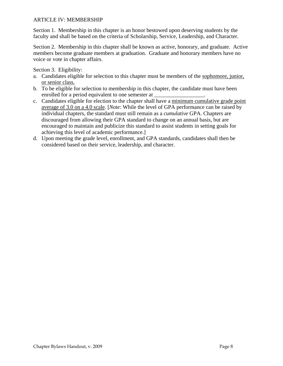#### ARTICLE IV: MEMBERSHIP

Section 1. Membership in this chapter is an honor bestowed upon deserving students by the faculty and shall be based on the criteria of Scholarship, Service, Leadership, and Character.

Section 2. Membership in this chapter shall be known as active, honorary, and graduate. Active members become graduate members at graduation. Graduate and honorary members have no voice or vote in chapter affairs.

Section 3. Eligibility:

- a. Candidates eligible for selection to this chapter must be members of the sophomore, junior, or senior class.
- b. To be eligible for selection to membership in this chapter, the candidate must have been enrolled for a period equivalent to one semester at
- c. Candidates eligible for election to the chapter shall have a minimum cumulative grade point average of 3.0 on a 4.0 scale. [*Note*: While the level of GPA performance can be raised by individual chapters, the standard must still remain as a *cumulative* GPA. Chapters are discouraged from allowing their GPA standard to change on an annual basis, but are encouraged to maintain and publicize this standard to assist students in setting goals for achieving this level of academic performance.]
- d. Upon meeting the grade level, enrollment, and GPA standards, candidates shall then be considered based on their service, leadership, and character.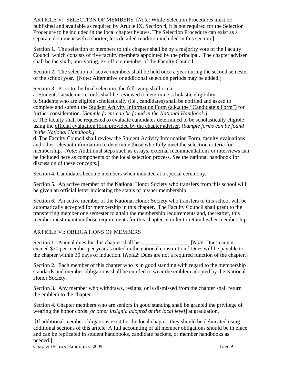ARTICLE V: SELECTION OF MEMBERS [*Note*: While Selection Procedures must be published and available as required by Article IX, Section 4, it is not required for the Selection Procedure to be included in the local chapter bylaws. The Selection Procedure can exist as a separate document with a shorter, less detailed rendition included in this section.]

Section 1. The selection of members to this chapter shall be by a majority vote of the Faculty Council which consists of five faculty members appointed by the principal. The chapter adviser shall be the sixth, non-voting, ex-officio member of the Faculty Council.

Section 2. The selection of active members shall be held once a year during the second semester of the school year. [Note: Alternative or additional selection periods may be added.]

Section 3. Prior to the final selection, the following shall occur:

a. Students' academic records shall be reviewed to determine scholastic eligibility. b. Students who are eligible scholastically (i.e., candidates) shall be notified and asked to complete and submit the Student Activity Information Form (a.k.a the "Candidate's Form") for further consideration. [*Sample forms can be found in the National Handbook.]* c. The faculty shall be requested to evaluate candidates determined to be scholastically eligible using the official evaluation form provided by the chapter adviser. [*Sample forms can be found in the National Handbook.]*

d. The Faculty Council shall review the Student Activity Information Form, faculty evaluations and other relevant information to determine those who fully meet the selection criteria for membership. [*Note*: Additional steps such as essays, external recommendations or interviews can be included here as components of the local selection process. See the national handbook for discussion of these concepts.

Section 4. Candidates become members when inducted at a special ceremony.

Section 5. An active member of the National Honor Society who transfers from this school will be given an official letter indicating the status of his/her membership.

Section 6. An active member of the National Honor Society who transfers to this school will be automatically accepted for membership in this chapter. The Faculty Council shall grant to the transferring member one semester to attain the membership requirements and, thereafter, this member must maintain those requirements for this chapter in order to retain his/her membership.

#### ARTICLE VI: OBLIGATIONS OF MEMBERS

Section 1. Annual dues for this chapter shall be \_\_\_\_\_\_\_\_\_\_\_\_\_\_\_\_\_\_. [*Note*: Dues cannot exceed \$20 per member per year as noted in the national constitution.] Dues will be payable to the chapter within 30 days of induction. [*Note2*: Dues are not a required function of the chapter.]

Section 2. Each member of this chapter who is in good standing with regard to the membership standards and member obligations shall be entitled to wear the emblem adopted by the National Honor Society.

Section 3. Any member who withdraws, resigns, or is dismissed from the chapter shall return the emblem to the chapter.

Section 4. Chapter members who are seniors in good standing shall be granted the privilege of wearing the honor cords [*or other insignia adopted at the local level*] at graduation.

 [If additional member obligations exist for the local chapter, they should be delineated using additional sections of this article. A full accounting of all member obligations should be in place and can be replicated in student handbooks, candidate packets, or member handbooks as needed.]

Chapter Bylaws Handout, v. 2009 Page 9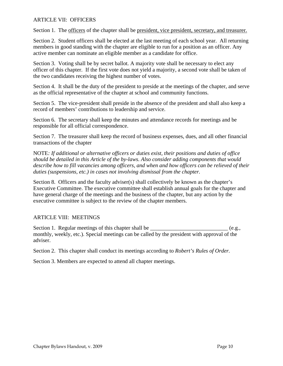#### ARTICLE VII: OFFICERS

Section 1. The officers of the chapter shall be president, vice president, secretary, and treasurer.

Section 2. Student officers shall be elected at the last meeting of each school year. All returning members in good standing with the chapter are eligible to run for a position as an officer. Any active member can nominate an eligible member as a candidate for office.

Section 3. Voting shall be by secret ballot. A majority vote shall be necessary to elect any officer of this chapter. If the first vote does not yield a majority, a second vote shall be taken of the two candidates receiving the highest number of votes.

Section 4. It shall be the duty of the president to preside at the meetings of the chapter, and serve as the official representative of the chapter at school and community functions.

Section 5. The vice-president shall preside in the absence of the president and shall also keep a record of members' contributions to leadership and service.

Section 6. The secretary shall keep the minutes and attendance records for meetings and be responsible for all official correspondence.

Section 7. The treasurer shall keep the record of business expenses, dues, and all other financial transactions of the chapter

NOTE*: If additional or alternative officers or duties exist, their positions and duties of office should be detailed in this Article of the by-laws. Also consider adding components that would describe how to fill vacancies among officers, and when and how officers can be relieved of their duties (suspensions, etc.) in cases not involving dismissal from the chapter.*

Section 8. Officers and the faculty adviser(s) shall collectively be known as the chapter's Executive Committee. The executive committee shall establish annual goals for the chapter and have general charge of the meetings and the business of the chapter, but any action by the executive committee is subject to the review of the chapter members.

#### ARTICLE VIII: MEETINGS

Section 1. Regular meetings of this chapter shall be  $(e.g.,)$ monthly, weekly, etc.). Special meetings can be called by the president with approval of the adviser.

Section 2. This chapter shall conduct its meetings according to *Robert's Rules of Order.* 

Section 3. Members are expected to attend all chapter meetings.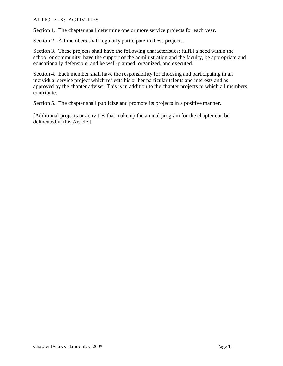#### ARTICLE IX: ACTIVITIES

Section 1. The chapter shall determine one or more service projects for each year.

Section 2. All members shall regularly participate in these projects.

Section 3. These projects shall have the following characteristics: fulfill a need within the school or community, have the support of the administration and the faculty, be appropriate and educationally defensible, and be well-planned, organized, and executed.

Section 4. Each member shall have the responsibility for choosing and participating in an individual service project which reflects his or her particular talents and interests and as approved by the chapter adviser. This is in addition to the chapter projects to which all members contribute.

Section 5. The chapter shall publicize and promote its projects in a positive manner.

[Additional projects or activities that make up the annual program for the chapter can be delineated in this Article.]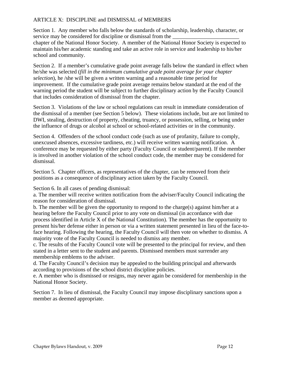#### ARTICLE X: DISCIPLINE and DISMISSAL of MEMBERS

Section 1. Any member who falls below the standards of scholarship, leadership, character, or service may be considered for discipline or dismissal from the chapter of the National Honor Society. A member of the National Honor Society is expected to maintain his/her academic standing and take an active role in service and leadership to his/her school and community.

Section 2. If a member's cumulative grade point average falls below the standard in effect when he/she was selected (*fill in the minimum cumulative grade point average for your chapter selection*), he /she will be given a written warning and a reasonable time period for improvement. If the cumulative grade point average remains below standard at the end of the warning period the student will be subject to further disciplinary action by the Faculty Council that includes consideration of dismissal from the chapter.

Section 3. Violations of the law or school regulations can result in immediate consideration of the dismissal of a member (see Section 5 below). These violations include, but are not limited to DWI, stealing, destruction of property, cheating, truancy, or possession, selling, or being under the influence of drugs or alcohol at school or school-related activities or in the community.

Section 4. Offenders of the school conduct code (such as use of profanity, failure to comply, unexcused absences, excessive tardiness, etc.) will receive written warning notification. A conference may be requested by either party (Faculty Council or student/parent). If the member is involved in another violation of the school conduct code, the member may be considered for dismissal.

Section 5. Chapter officers, as representatives of the chapter, can be removed from their positions as a consequence of disciplinary action taken by the Faculty Council.

Section 6. In all cases of pending dismissal:

a. The member will receive written notification from the adviser/Faculty Council indicating the reason for consideration of dismissal.

b. The member will be given the opportunity to respond to the charge(s) against him/her at a hearing before the Faculty Council prior to any vote on dismissal (in accordance with due process identified in Article X of the National Constitution). The member has the opportunity to present his/her defense either in person or via a written statement presented in lieu of the face-toface hearing. Following the hearing, the Faculty Council will then vote on whether to dismiss. A majority vote of the Faculty Council is needed to dismiss any member.

c. The results of the Faculty Council vote will be presented to the principal for review, and then stated in a letter sent to the student and parents. Dismissed members must surrender any membership emblems to the adviser.

d. The Faculty Council's decision may be appealed to the building principal and afterwards according to provisions of the school district discipline policies.

e. A member who is dismissed or resigns, may never again be considered for membership in the National Honor Society.

Section 7. In lieu of dismissal, the Faculty Council may impose disciplinary sanctions upon a member as deemed appropriate.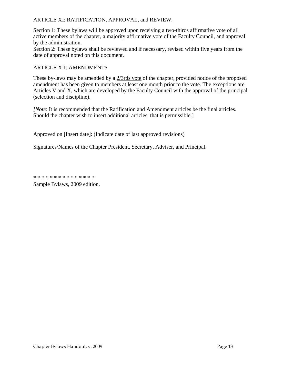#### ARTICLE XI: RATIFICATION, APPROVAL, and REVIEW.

Section 1: These bylaws will be approved upon receiving a two-thirds affirmative vote of all active members of the chapter, a majority affirmative vote of the Faculty Council, and approval by the administration.

Section 2: These bylaws shall be reviewed and if necessary, revised within five years from the date of approval noted on this document.

#### ARTICLE XII: AMENDMENTS

These by-laws may be amended by a  $2/3$ rds vote of the chapter, provided notice of the proposed amendment has been given to members at least one month prior to the vote. The exceptions are Articles V and X, which are developed by the Faculty Council with the approval of the principal (selection and discipline).

*[Note: It is recommended that the Ratification and Amendment articles be the final articles.* Should the chapter wish to insert additional articles, that is permissible.]

Approved on [Insert date]: (Indicate date of last approved revisions)

Signatures/Names of the Chapter President, Secretary, Adviser, and Principal.

\* \* \* \* \* \* \* \* \* \* \* \* \* \* \*

Sample Bylaws, 2009 edition.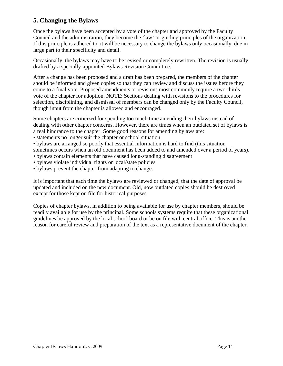# **5. Changing the Bylaws**

Once the bylaws have been accepted by a vote of the chapter and approved by the Faculty Council and the administration, they become the 'law' or guiding principles of the organization. If this principle is adhered to, it will be necessary to change the bylaws only occasionally, due in large part to their specificity and detail.

Occasionally, the bylaws may have to be revised or completely rewritten. The revision is usually drafted by a specially-appointed Bylaws Revision Committee.

After a change has been proposed and a draft has been prepared, the members of the chapter should be informed and given copies so that they can review and discuss the issues before they come to a final vote. Proposed amendments or revisions most commonly require a two-thirds vote of the chapter for adoption. NOTE: Sections dealing with revisions to the procedures for selection, disciplining, and dismissal of members can be changed only by the Faculty Council, though input from the chapter is allowed and encouraged.

Some chapters are criticized for spending too much time amending their bylaws instead of dealing with other chapter concerns. However, there are times when an outdated set of bylaws is a real hindrance to the chapter. Some good reasons for amending bylaws are:

- statements no longer suit the chapter or school situation
- bylaws are arranged so poorly that essential information is hard to find (this situation sometimes occurs when an old document has been added to and amended over a period of years).
- bylaws contain elements that have caused long-standing disagreement
- bylaws violate individual rights or local/state policies
- bylaws prevent the chapter from adapting to change.

It is important that each time the bylaws are reviewed or changed, that the date of approval be updated and included on the new document. Old, now outdated copies should be destroyed except for those kept on file for historical purposes.

Copies of chapter bylaws, in addition to being available for use by chapter members, should be readily available for use by the principal. Some schools systems require that these organizational guidelines be approved by the local school board or be on file with central office. This is another reason for careful review and preparation of the text as a representative document of the chapter.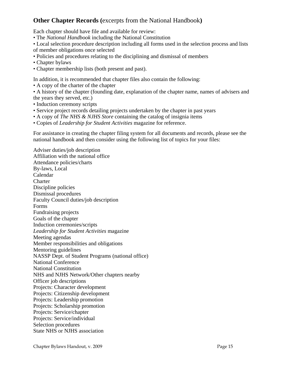# **Other Chapter Records (**excerpts from the National Handbook**)**

Each chapter should have file and available for review:

- The *National Handbook* including the National Constitution
- Local selection procedure description including all forms used in the selection process and lists of member obligations once selected
- Policies and procedures relating to the disciplining and dismissal of members
- Chapter bylaws
- Chapter membership lists (both present and past).

In addition, it is recommended that chapter files also contain the following:

- A copy of the charter of the chapter
- A history of the chapter (founding date, explanation of the chapter name, names of advisers and the years they served, etc.)
- Induction ceremony scripts
- Service project records detailing projects undertaken by the chapter in past years
- A copy of *The NHS & NJHS Store* containing the catalog of insignia items
- Copies of *Leadership for Student Activities* magazine for reference.

For assistance in creating the chapter filing system for all documents and records, please see the national handbook and then consider using the following list of topics for your files:

Adviser duties/job description Affiliation with the national office Attendance policies/charts By-laws, Local Calendar **Charter** Discipline policies Dismissal procedures Faculty Council duties/job description Forms Fundraising projects Goals of the chapter Induction ceremonies/scripts *Leadership for Student Activities* magazine Meeting agendas Member responsibilities and obligations Mentoring guidelines NASSP Dept. of Student Programs (national office) National Conference National Constitution NHS and NJHS Network/Other chapters nearby Officer job descriptions Projects: Character development Projects: Citizenship development Projects: Leadership promotion Projects: Scholarship promotion Projects: Service/chapter Projects: Service/individual Selection procedures State NHS or NJHS association